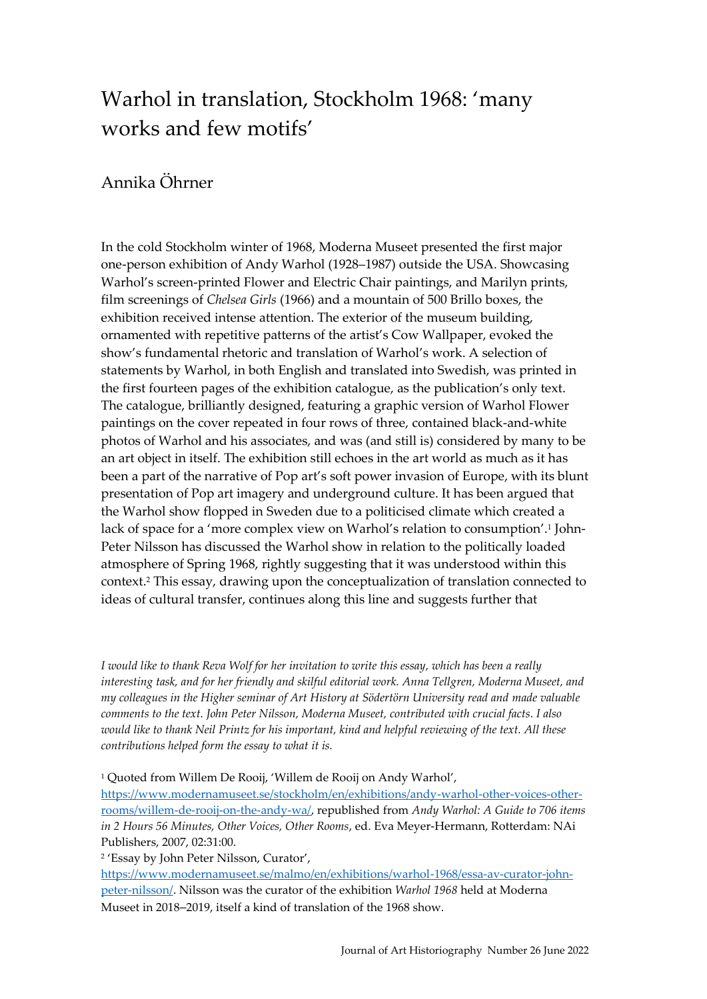# Warhol in translation, Stockholm 1968: 'many works and few motifs'

## Annika Öhrner

In the cold Stockholm winter of 1968, Moderna Museet presented the first major one-person exhibition of Andy Warhol (1928–1987) outside the USA. Showcasing Warhol's screen-printed Flower and Electric Chair paintings, and Marilyn prints, film screenings of *Chelsea Girls* (1966) and a mountain of 500 Brillo boxes, the exhibition received intense attention. The exterior of the museum building, ornamented with repetitive patterns of the artist's Cow Wallpaper, evoked the show's fundamental rhetoric and translation of Warhol's work. A selection of statements by Warhol, in both English and translated into Swedish, was printed in the first fourteen pages of the exhibition catalogue, as the publication's only text. The catalogue, brilliantly designed, featuring a graphic version of Warhol Flower paintings on the cover repeated in four rows of three, contained black-and-white photos of Warhol and his associates, and was (and still is) considered by many to be an art object in itself. The exhibition still echoes in the art world as much as it has been a part of the narrative of Pop art's soft power invasion of Europe, with its blunt presentation of Pop art imagery and underground culture. It has been argued that the Warhol show flopped in Sweden due to a politicised climate which created a lack of space for a 'more complex view on Warhol's relation to consumption'.<sup>1</sup> John-Peter Nilsson has discussed the Warhol show in relation to the politically loaded atmosphere of Spring 1968, rightly suggesting that it was understood within this context.<sup>2</sup> This essay, drawing upon the conceptualization of translation connected to ideas of cultural transfer, continues along this line and suggests further that

*I would like to thank Reva Wolf for her invitation to write this essay, which has been a really interesting task, and for her friendly and skilful editorial work. Anna Tellgren, Moderna Museet, and my colleagues in the Higher seminar of Art History at Södertörn University read and made valuable comments to the text. John Peter Nilsson, Moderna Museet, contributed with crucial facts. I also would like to thank Neil Printz for his important, kind and helpful reviewing of the text. All these contributions helped form the essay to what it is.*

<sup>1</sup> Quoted from Willem De Rooij, 'Willem de Rooij on Andy Warhol',

[https://www.modernamuseet.se/stockholm/en/exhibitions/andy-warhol-other-voices-other](https://www.modernamuseet.se/stockholm/en/exhibitions/andy-warhol-other-voices-other-rooms/willem-de-rooij-on-the-andy-wa/)[rooms/willem-de-rooij-on-the-andy-wa/,](https://www.modernamuseet.se/stockholm/en/exhibitions/andy-warhol-other-voices-other-rooms/willem-de-rooij-on-the-andy-wa/) republished from *Andy Warhol: A Guide to 706 items in 2 Hours 56 Minutes, Other Voices, Other Rooms*, ed. Eva Meyer-Hermann, Rotterdam: NAi Publishers, 2007, 02:31:00.

2 'Essay by John Peter Nilsson, Curator',

[https://www.modernamuseet.se/malmo/en/exhibitions/warhol-1968/essa-av-curator-john](https://www.modernamuseet.se/malmo/en/exhibitions/warhol-1968/essa-av-curator-john-peter-nilsson/)[peter-nilsson/.](https://www.modernamuseet.se/malmo/en/exhibitions/warhol-1968/essa-av-curator-john-peter-nilsson/) Nilsson was the curator of the exhibition *Warhol 1968* held at Moderna Museet in 2018–2019, itself a kind of translation of the 1968 show.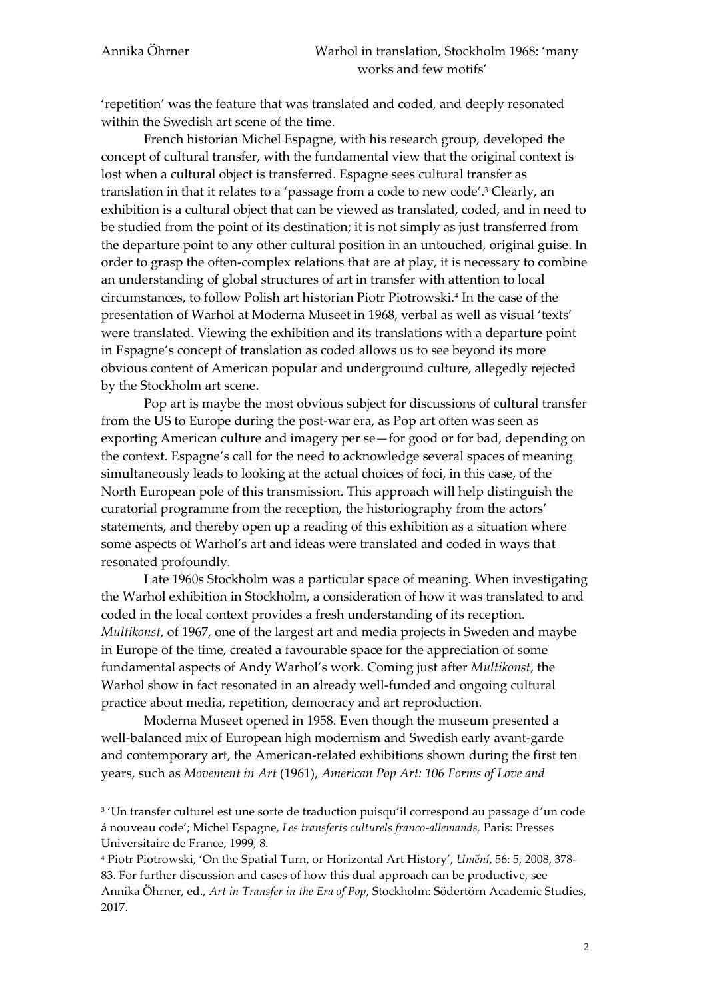'repetition' was the feature that was translated and coded, and deeply resonated within the Swedish art scene of the time.

French historian Michel Espagne, with his research group, developed the concept of cultural transfer, with the fundamental view that the original context is lost when a cultural object is transferred. Espagne sees cultural transfer as translation in that it relates to a 'passage from a code to new code'.<sup>3</sup> Clearly, an exhibition is a cultural object that can be viewed as translated, coded, and in need to be studied from the point of its destination; it is not simply as just transferred from the departure point to any other cultural position in an untouched, original guise. In order to grasp the often-complex relations that are at play, it is necessary to combine an understanding of global structures of art in transfer with attention to local circumstances, to follow Polish art historian Piotr Piotrowski.<sup>4</sup> In the case of the presentation of Warhol at Moderna Museet in 1968, verbal as well as visual 'texts' were translated. Viewing the exhibition and its translations with a departure point in Espagne's concept of translation as coded allows us to see beyond its more obvious content of American popular and underground culture, allegedly rejected by the Stockholm art scene.

Pop art is maybe the most obvious subject for discussions of cultural transfer from the US to Europe during the post-war era, as Pop art often was seen as exporting American culture and imagery per se—for good or for bad, depending on the context. Espagne's call for the need to acknowledge several spaces of meaning simultaneously leads to looking at the actual choices of foci, in this case, of the North European pole of this transmission. This approach will help distinguish the curatorial programme from the reception, the historiography from the actors' statements, and thereby open up a reading of this exhibition as a situation where some aspects of Warhol's art and ideas were translated and coded in ways that resonated profoundly.

Late 1960s Stockholm was a particular space of meaning. When investigating the Warhol exhibition in Stockholm, a consideration of how it was translated to and coded in the local context provides a fresh understanding of its reception. *Multikonst*, of 1967, one of the largest art and media projects in Sweden and maybe in Europe of the time, created a favourable space for the appreciation of some fundamental aspects of Andy Warhol's work. Coming just after *Multikonst*, the Warhol show in fact resonated in an already well-funded and ongoing cultural practice about media, repetition, democracy and art reproduction.

Moderna Museet opened in 1958. Even though the museum presented a well-balanced mix of European high modernism and Swedish early avant-garde and contemporary art, the American-related exhibitions shown during the first ten years, such as *Movement in Art* (1961), *American Pop Art: 106 Forms of Love and* 

<sup>3</sup> 'Un transfer culturel est une sorte de traduction puisqu'il correspond au passage d'un code á nouveau code'; Michel Espagne, *Les transferts culturels franco-allemands,* Paris: Presses Universitaire de France, 1999, 8.

<sup>4</sup> Piotr Piotrowski, 'On the Spatial Turn, or Horizontal Art History', *Umění*, 56: 5, 2008, 378- 83. For further discussion and cases of how this dual approach can be productive, see Annika Öhrner, ed., *Art in Transfer in the Era of Pop*, Stockholm: Södertörn Academic Studies, 2017.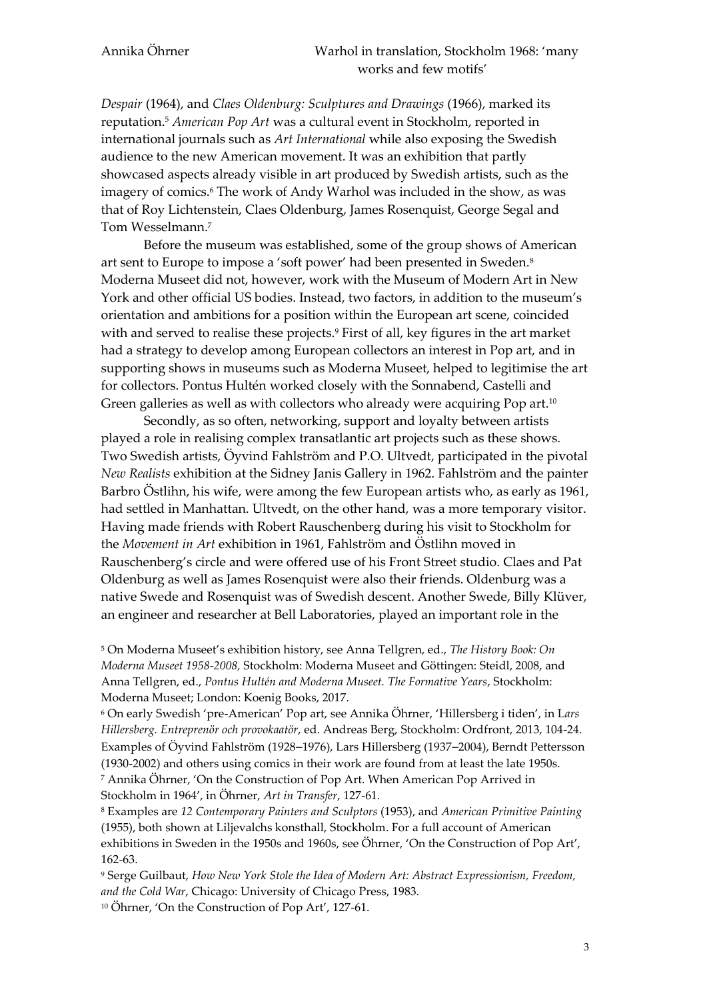*Despair* (1964), and *Claes Oldenburg: Sculptures and Drawings* (1966), marked its reputation.<sup>5</sup> *American Pop Art* was a cultural event in Stockholm, reported in international journals such as *Art International* while also exposing the Swedish audience to the new American movement. It was an exhibition that partly showcased aspects already visible in art produced by Swedish artists, such as the imagery of comics.<sup>6</sup> The work of Andy Warhol was included in the show, as was that of Roy Lichtenstein, Claes Oldenburg, James Rosenquist, George Segal and Tom Wesselmann.<sup>7</sup>

Before the museum was established, some of the group shows of American art sent to Europe to impose a 'soft power' had been presented in Sweden.<sup>8</sup> Moderna Museet did not, however, work with the Museum of Modern Art in New York and other official US bodies. Instead, two factors, in addition to the museum's orientation and ambitions for a position within the European art scene, coincided with and served to realise these projects.<sup>9</sup> First of all, key figures in the art market had a strategy to develop among European collectors an interest in Pop art, and in supporting shows in museums such as Moderna Museet, helped to legitimise the art for collectors. Pontus Hultén worked closely with the Sonnabend, Castelli and Green galleries as well as with collectors who already were acquiring Pop art.<sup>10</sup>

Secondly, as so often, networking, support and loyalty between artists played a role in realising complex transatlantic art projects such as these shows. Two Swedish artists, Öyvind Fahlström and P.O. Ultvedt, participated in the pivotal *New Realists* exhibition at the Sidney Janis Gallery in 1962. Fahlström and the painter Barbro Östlihn, his wife, were among the few European artists who, as early as 1961, had settled in Manhattan. Ultvedt, on the other hand, was a more temporary visitor. Having made friends with Robert Rauschenberg during his visit to Stockholm for the *Movement in Art* exhibition in 1961, Fahlström and Östlihn moved in Rauschenberg's circle and were offered use of his Front Street studio. Claes and Pat Oldenburg as well as James Rosenquist were also their friends. Oldenburg was a native Swede and Rosenquist was of Swedish descent. Another Swede, Billy Klüver, an engineer and researcher at Bell Laboratories, played an important role in the

<sup>5</sup> On Moderna Museet's exhibition history, see Anna Tellgren, ed., *The History Book: On Moderna Museet 1958-2008,* Stockholm: Moderna Museet and Göttingen: Steidl, 2008, and Anna Tellgren, ed., *Pontus Hultén and Moderna Museet. The Formative Years*, Stockholm: Moderna Museet; London: Koenig Books, 2017.

<sup>6</sup> On early Swedish 'pre-American' Pop art, see Annika Öhrner, 'Hillersberg i tiden', in L*ars Hillersberg. Entreprenör och provokaatör*, ed. Andreas Berg, Stockholm: Ordfront, 2013, 104-24. Examples of Öyvind Fahlström (1928–1976), Lars Hillersberg (1937–2004), Berndt Pettersson (1930-2002) and others using comics in their work are found from at least the late 1950s. <sup>7</sup> Annika Öhrner, 'On the Construction of Pop Art. When American Pop Arrived in Stockholm in 1964', in Öhrner, *Art in Transfer*, 127-61.

<sup>8</sup> Examples are *12 Contemporary Painters and Sculptors* (1953), and *American Primitive Painting* (1955), both shown at Liljevalchs konsthall, Stockholm. For a full account of American exhibitions in Sweden in the 1950s and 1960s, see Öhrner, 'On the Construction of Pop Art', 162-63.

<sup>9</sup> Serge Guilbaut, *How New York Stole the Idea of Modern Art: Abstract Expressionism, Freedom, and the Cold War*, Chicago: University of Chicago Press, 1983. <sup>10</sup> Öhrner, 'On the Construction of Pop Art', 127-61.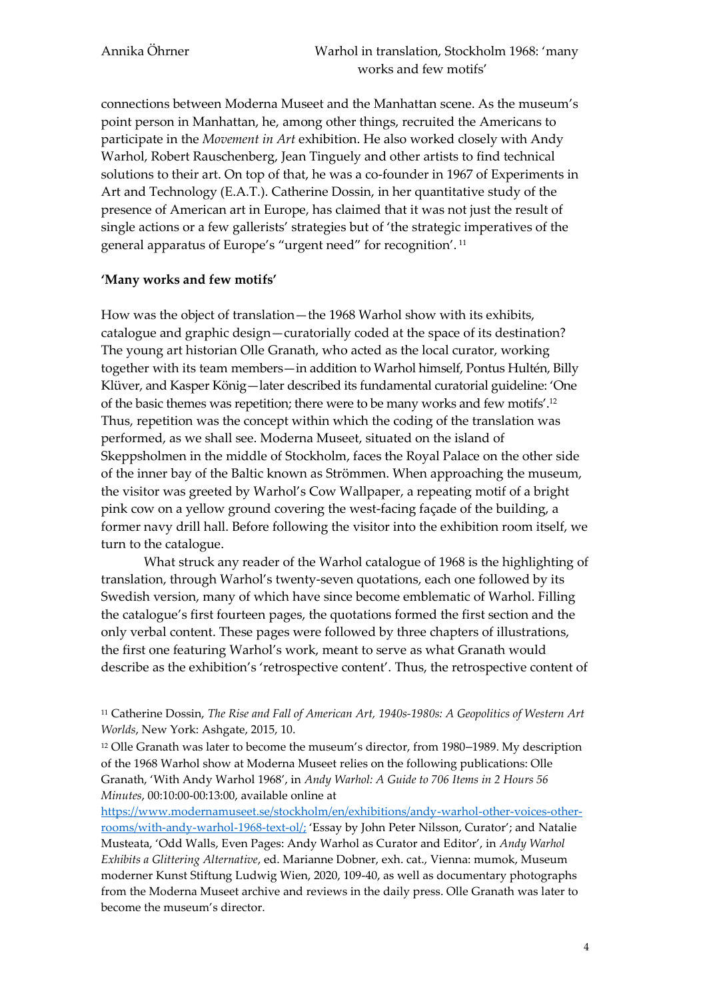connections between Moderna Museet and the Manhattan scene. As the museum's point person in Manhattan, he, among other things, recruited the Americans to participate in the *Movement in Art* exhibition. He also worked closely with Andy Warhol, Robert Rauschenberg, Jean Tinguely and other artists to find technical solutions to their art. On top of that, he was a co-founder in 1967 of Experiments in Art and Technology (E.A.T.). Catherine Dossin, in her quantitative study of the presence of American art in Europe, has claimed that it was not just the result of single actions or a few gallerists' strategies but of 'the strategic imperatives of the general apparatus of Europe's "urgent need" for recognition'. <sup>11</sup>

### **'Many works and few motifs'**

How was the object of translation—the 1968 Warhol show with its exhibits, catalogue and graphic design—curatorially coded at the space of its destination? The young art historian Olle Granath, who acted as the local curator, working together with its team members—in addition to Warhol himself, Pontus Hultén, Billy Klüver, and Kasper König—later described its fundamental curatorial guideline: 'One of the basic themes was repetition; there were to be many works and few motifs'.<sup>12</sup> Thus, repetition was the concept within which the coding of the translation was performed, as we shall see. Moderna Museet, situated on the island of Skeppsholmen in the middle of Stockholm, faces the Royal Palace on the other side of the inner bay of the Baltic known as Strömmen. When approaching the museum, the visitor was greeted by Warhol's Cow Wallpaper, a repeating motif of a bright pink cow on a yellow ground covering the west-facing façade of the building, a former navy drill hall. Before following the visitor into the exhibition room itself, we turn to the catalogue.

What struck any reader of the Warhol catalogue of 1968 is the highlighting of translation, through Warhol's twenty-seven quotations, each one followed by its Swedish version, many of which have since become emblematic of Warhol. Filling the catalogue's first fourteen pages, the quotations formed the first section and the only verbal content. These pages were followed by three chapters of illustrations, the first one featuring Warhol's work, meant to serve as what Granath would describe as the exhibition's 'retrospective content'. Thus, the retrospective content of

[https://www.modernamuseet.se/stockholm/en/exhibitions/andy-warhol-other-voices-other](https://www.modernamuseet.se/stockholm/en/exhibitions/andy-warhol-other-voices-other-rooms/with-andy-warhol-1968-text-ol/;)[rooms/with-andy-warhol-1968-text-ol/;](https://www.modernamuseet.se/stockholm/en/exhibitions/andy-warhol-other-voices-other-rooms/with-andy-warhol-1968-text-ol/;) 'Essay by John Peter Nilsson, Curator'; and Natalie Musteata, 'Odd Walls, Even Pages: Andy Warhol as Curator and Editor', in *Andy Warhol Exhibits a Glittering Alternative*, ed. Marianne Dobner, exh. cat., Vienna: mumok, Museum moderner Kunst Stiftung Ludwig Wien, 2020, 109-40, as well as documentary photographs from the Moderna Museet archive and reviews in the daily press. Olle Granath was later to become the museum's director.

<sup>11</sup> Catherine Dossin, *The Rise and Fall of American Art, 1940s-1980s: A Geopolitics of Western Art Worlds*, New York: Ashgate, 2015, 10.

<sup>12</sup> Olle Granath was later to become the museum's director, from 1980–1989. My description of the 1968 Warhol show at Moderna Museet relies on the following publications: Olle Granath, 'With Andy Warhol 1968', in *Andy Warhol: A Guide to 706 Items in 2 Hours 56 Minutes*, 00:10:00-00:13:00, available online at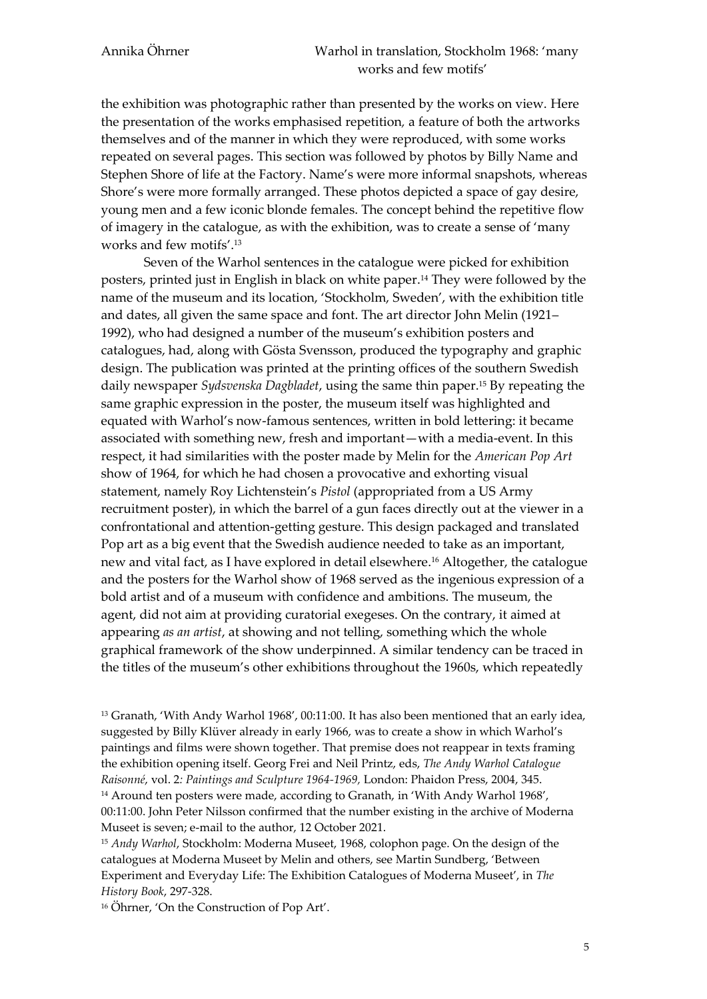the exhibition was photographic rather than presented by the works on view. Here the presentation of the works emphasised repetition*,* a feature of both the artworks themselves and of the manner in which they were reproduced, with some works repeated on several pages. This section was followed by photos by Billy Name and Stephen Shore of life at the Factory. Name's were more informal snapshots, whereas Shore's were more formally arranged. These photos depicted a space of gay desire, young men and a few iconic blonde females. The concept behind the repetitive flow of imagery in the catalogue, as with the exhibition, was to create a sense of 'many works and few motifs'.<sup>13</sup>

Seven of the Warhol sentences in the catalogue were picked for exhibition posters, printed just in English in black on white paper.<sup>14</sup> They were followed by the name of the museum and its location, 'Stockholm, Sweden', with the exhibition title and dates, all given the same space and font. The art director John Melin (1921– 1992), who had designed a number of the museum's exhibition posters and catalogues, had, along with Gösta Svensson, produced the typography and graphic design. The publication was printed at the printing offices of the southern Swedish daily newspaper *Sydsvenska Dagbladet*, using the same thin paper.<sup>15</sup> By repeating the same graphic expression in the poster, the museum itself was highlighted and equated with Warhol's now-famous sentences, written in bold lettering: it became associated with something new, fresh and important—with a media-event. In this respect, it had similarities with the poster made by Melin for the *American Pop Art* show of 1964, for which he had chosen a provocative and exhorting visual statement, namely Roy Lichtenstein's *Pistol* (appropriated from a US Army recruitment poster), in which the barrel of a gun faces directly out at the viewer in a confrontational and attention-getting gesture. This design packaged and translated Pop art as a big event that the Swedish audience needed to take as an important, new and vital fact, as I have explored in detail elsewhere.<sup>16</sup> Altogether, the catalogue and the posters for the Warhol show of 1968 served as the ingenious expression of a bold artist and of a museum with confidence and ambitions. The museum, the agent, did not aim at providing curatorial exegeses. On the contrary, it aimed at appearing *as an artist*, at showing and not telling, something which the whole graphical framework of the show underpinned. A similar tendency can be traced in the titles of the museum's other exhibitions throughout the 1960s, which repeatedly

 $13$  Granath, 'With Andy Warhol 1968', 00:11:00. It has also been mentioned that an early idea, suggested by Billy Klüver already in early 1966, was to create a show in which Warhol's paintings and films were shown together. That premise does not reappear in texts framing the exhibition opening itself. Georg Frei and Neil Printz, eds, *The Andy Warhol Catalogue Raisonné*, vol. 2*: Paintings and Sculpture 1964-1969,* London: Phaidon Press, 2004, 345. <sup>14</sup> Around ten posters were made, according to Granath, in 'With Andy Warhol 1968', 00:11:00. John Peter Nilsson confirmed that the number existing in the archive of Moderna Museet is seven; e-mail to the author, 12 October 2021.

<sup>15</sup> *Andy Warhol*, Stockholm: Moderna Museet, 1968, colophon page. On the design of the catalogues at Moderna Museet by Melin and others, see Martin Sundberg, 'Between Experiment and Everyday Life: The Exhibition Catalogues of Moderna Museet', in *The History Book*, 297-328.

<sup>16</sup> Öhrner, 'On the Construction of Pop Art'.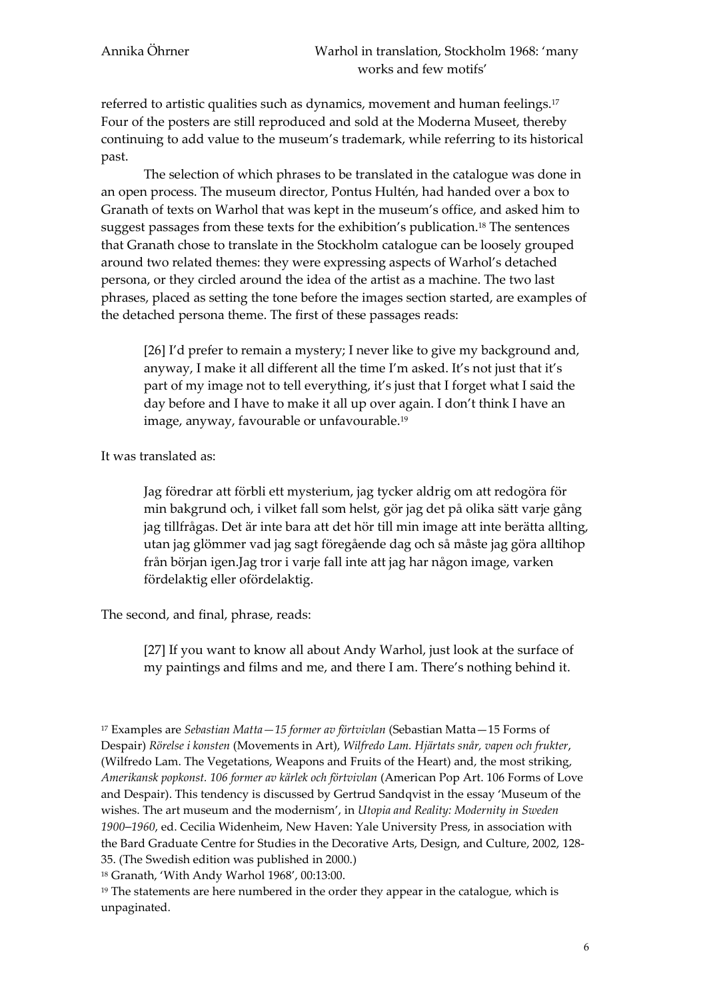referred to artistic qualities such as dynamics, movement and human feelings.<sup>17</sup> Four of the posters are still reproduced and sold at the Moderna Museet, thereby continuing to add value to the museum's trademark, while referring to its historical past.

The selection of which phrases to be translated in the catalogue was done in an open process. The museum director, Pontus Hultén, had handed over a box to Granath of texts on Warhol that was kept in the museum's office, and asked him to suggest passages from these texts for the exhibition's publication.<sup>18</sup> The sentences that Granath chose to translate in the Stockholm catalogue can be loosely grouped around two related themes: they were expressing aspects of Warhol's detached persona, or they circled around the idea of the artist as a machine. The two last phrases, placed as setting the tone before the images section started, are examples of the detached persona theme. The first of these passages reads:

[26] I'd prefer to remain a mystery; I never like to give my background and, anyway, I make it all different all the time I'm asked. It's not just that it's part of my image not to tell everything, it's just that I forget what I said the day before and I have to make it all up over again. I don't think I have an image, anyway, favourable or unfavourable.<sup>19</sup>

It was translated as:

Jag föredrar att förbli ett mysterium, jag tycker aldrig om att redogöra för min bakgrund och, i vilket fall som helst, gör jag det på olika sätt varje gång jag tillfrågas. Det är inte bara att det hör till min image att inte berätta allting, utan jag glömmer vad jag sagt föregående dag och så måste jag göra alltihop från början igen.Jag tror i varje fall inte att jag har någon image, varken fördelaktig eller ofördelaktig.

The second, and final, phrase, reads:

[27] If you want to know all about Andy Warhol, just look at the surface of my paintings and films and me, and there I am. There's nothing behind it.

<sup>17</sup> Examples are *Sebastian Matta—15 former av förtvivlan* (Sebastian Matta—15 Forms of Despair) *Rörelse i konsten* (Movements in Art), *Wilfredo Lam. Hjärtats snår, vapen och frukter*, (Wilfredo Lam. The Vegetations, Weapons and Fruits of the Heart) and, the most striking, *Amerikansk popkonst. 106 former av kärlek och förtvivlan* (American Pop Art. 106 Forms of Love and Despair). This tendency is discussed by Gertrud Sandqvist in the essay 'Museum of the wishes. The art museum and the modernism', in *Utopia and Reality: Modernity in Sweden 1900*–*1960*, ed. Cecilia Widenheim, New Haven: Yale University Press, in association with the Bard Graduate Centre for Studies in the Decorative Arts, Design, and Culture, 2002, 128- 35. (The Swedish edition was published in 2000.)

<sup>18</sup> Granath, 'With Andy Warhol 1968', 00:13:00.

 $19$  The statements are here numbered in the order they appear in the catalogue, which is unpaginated.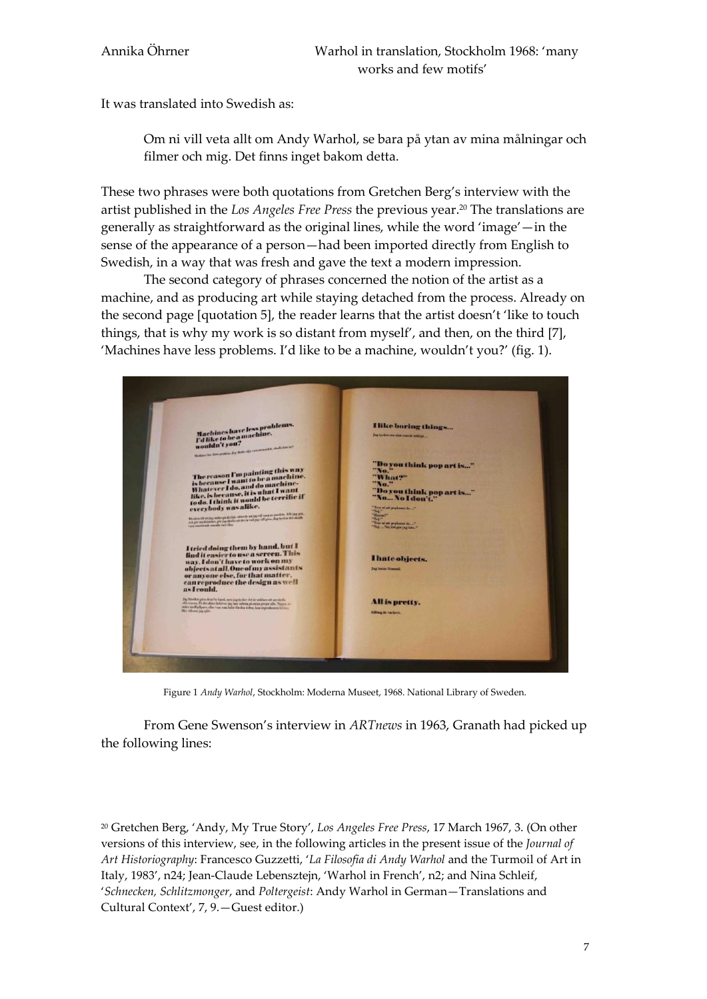It was translated into Swedish as:

Om ni vill veta allt om Andy Warhol, se bara på ytan av mina målningar och filmer och mig. Det finns inget bakom detta.

These two phrases were both quotations from Gretchen Berg's interview with the artist published in the *Los Angeles Free Press* the previous year.<sup>20</sup> The translations are generally as straightforward as the original lines, while the word 'image'—in the sense of the appearance of a person—had been imported directly from English to Swedish, in a way that was fresh and gave the text a modern impression.

The second category of phrases concerned the notion of the artist as a machine, and as producing art while staying detached from the process. Already on the second page [quotation 5], the reader learns that the artist doesn't 'like to touch things, that is why my work is so distant from myself', and then, on the third [7], 'Machines have less problems. I'd like to be a machine, wouldn't you?' (fig. 1).



Figure 1 *Andy Warhol*, Stockholm: Moderna Museet, 1968. National Library of Sweden.

From Gene Swenson's interview in *ARTnews* in 1963, Granath had picked up the following lines:

<sup>20</sup> Gretchen Berg, 'Andy, My True Story', *Los Angeles Free Press*, 17 March 1967, 3. (On other versions of this interview, see, in the following articles in the present issue of the *Journal of Art Historiography*: Francesco Guzzetti, '*La Filosofia di Andy Warhol* and the Turmoil of Art in Italy, 1983', n24; Jean-Claude Lebensztejn, 'Warhol in French', n2; and Nina Schleif, '*Schnecken, Schlitzmonger*, and *Poltergeist*: Andy Warhol in German—Translations and Cultural Context', 7, 9.—Guest editor.)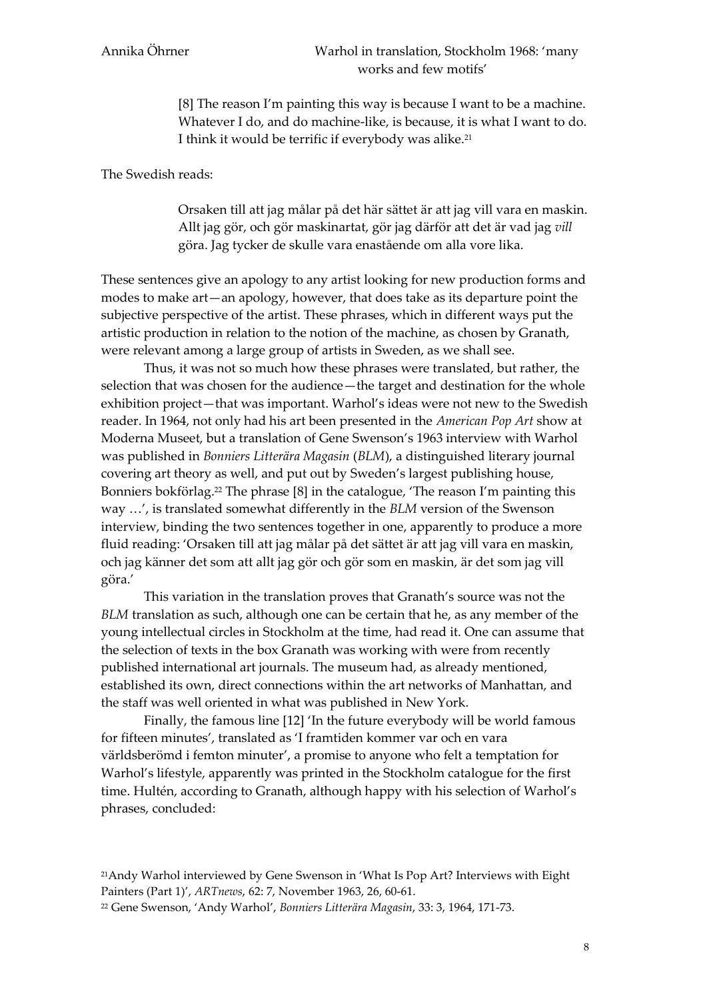[8] The reason I'm painting this way is because I want to be a machine. Whatever I do, and do machine-like, is because, it is what I want to do. I think it would be terrific if everybody was alike.<sup>21</sup>

The Swedish reads:

Orsaken till att jag målar på det här sättet är att jag vill vara en maskin. Allt jag gör, och gör maskinartat, gör jag därför att det är vad jag *vill* göra. Jag tycker de skulle vara enastående om alla vore lika.

These sentences give an apology to any artist looking for new production forms and modes to make art—an apology, however, that does take as its departure point the subjective perspective of the artist. These phrases, which in different ways put the artistic production in relation to the notion of the machine, as chosen by Granath, were relevant among a large group of artists in Sweden, as we shall see.

Thus, it was not so much how these phrases were translated, but rather, the selection that was chosen for the audience—the target and destination for the whole exhibition project—that was important. Warhol's ideas were not new to the Swedish reader. In 1964, not only had his art been presented in the *American Pop Art* show at Moderna Museet, but a translation of Gene Swenson's 1963 interview with Warhol was published in *Bonniers Litterära Magasin* (*BLM*), a distinguished literary journal covering art theory as well, and put out by Sweden's largest publishing house, Bonniers bokförlag.<sup>22</sup> The phrase [8] in the catalogue, 'The reason I'm painting this way …', is translated somewhat differently in the *BLM* version of the Swenson interview, binding the two sentences together in one, apparently to produce a more fluid reading: 'Orsaken till att jag målar på det sättet är att jag vill vara en maskin, och jag känner det som att allt jag gör och gör som en maskin, är det som jag vill göra.'

This variation in the translation proves that Granath's source was not the *BLM* translation as such, although one can be certain that he, as any member of the young intellectual circles in Stockholm at the time, had read it. One can assume that the selection of texts in the box Granath was working with were from recently published international art journals. The museum had, as already mentioned, established its own, direct connections within the art networks of Manhattan, and the staff was well oriented in what was published in New York.

Finally, the famous line [12] 'In the future everybody will be world famous for fifteen minutes', translated as 'I framtiden kommer var och en vara världsberömd i femton minuter', a promise to anyone who felt a temptation for Warhol's lifestyle, apparently was printed in the Stockholm catalogue for the first time. Hultén, according to Granath, although happy with his selection of Warhol's phrases, concluded:

<sup>21</sup>Andy Warhol interviewed by Gene Swenson in 'What Is Pop Art? Interviews with Eight Painters (Part 1)', *ARTnews*, 62: 7, November 1963, 26, 60-61.

<sup>22</sup> Gene Swenson, 'Andy Warhol', *Bonniers Litterära Magasin*, 33: 3, 1964, 171-73.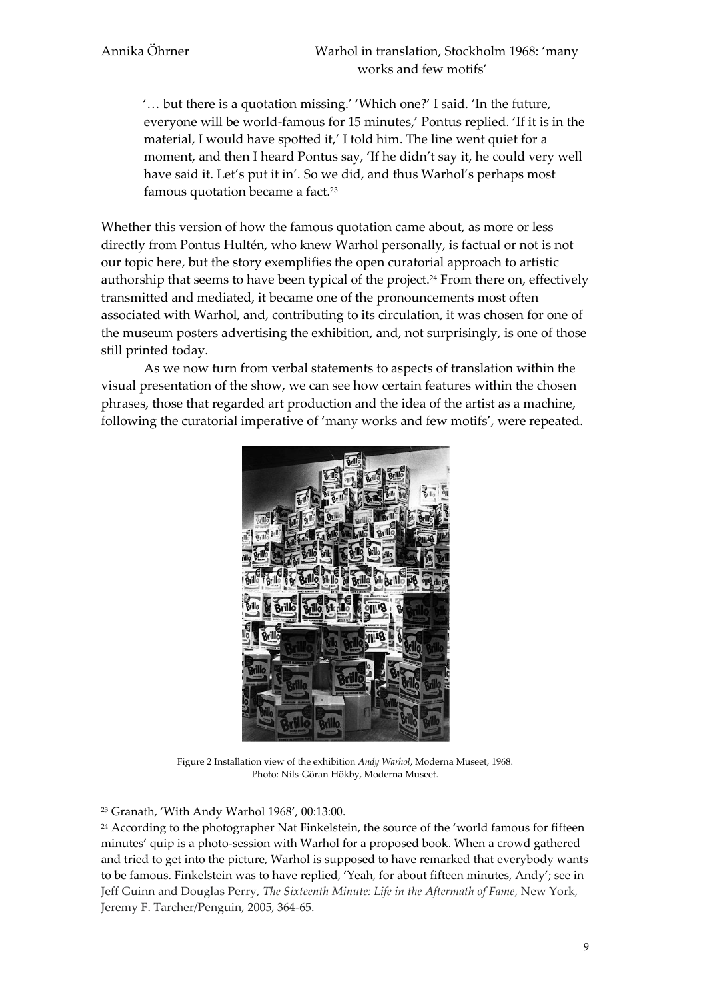'… but there is a quotation missing.' 'Which one?' I said. 'In the future, everyone will be world-famous for 15 minutes,' Pontus replied. 'If it is in the material, I would have spotted it,' I told him. The line went quiet for a moment, and then I heard Pontus say, 'If he didn't say it, he could very well have said it. Let's put it in'. So we did, and thus Warhol's perhaps most famous quotation became a fact.<sup>23</sup>

Whether this version of how the famous quotation came about, as more or less directly from Pontus Hultén, who knew Warhol personally, is factual or not is not our topic here, but the story exemplifies the open curatorial approach to artistic authorship that seems to have been typical of the project.<sup>24</sup> From there on, effectively transmitted and mediated, it became one of the pronouncements most often associated with Warhol, and, contributing to its circulation, it was chosen for one of the museum posters advertising the exhibition, and, not surprisingly, is one of those still printed today.

As we now turn from verbal statements to aspects of translation within the visual presentation of the show, we can see how certain features within the chosen phrases, those that regarded art production and the idea of the artist as a machine, following the curatorial imperative of 'many works and few motifs', were repeated.



Figure 2 Installation view of the exhibition *Andy Warhol*, Moderna Museet, 1968. Photo: Nils-Göran Hökby, Moderna Museet.

<sup>23</sup> Granath, 'With Andy Warhol 1968', 00:13:00.

<sup>24</sup> According to the photographer Nat Finkelstein, the source of the 'world famous for fifteen minutes' quip is a photo-session with Warhol for a proposed book. When a crowd gathered and tried to get into the picture, Warhol is supposed to have remarked that everybody wants to be famous. Finkelstein was to have replied, 'Yeah, for about fifteen minutes, Andy'; see in Jeff Guinn and Douglas Perry, *The Sixteenth Minute: Life in the Aftermath of Fame*, New York, Jeremy F. Tarcher/Penguin, 2005, 364-65.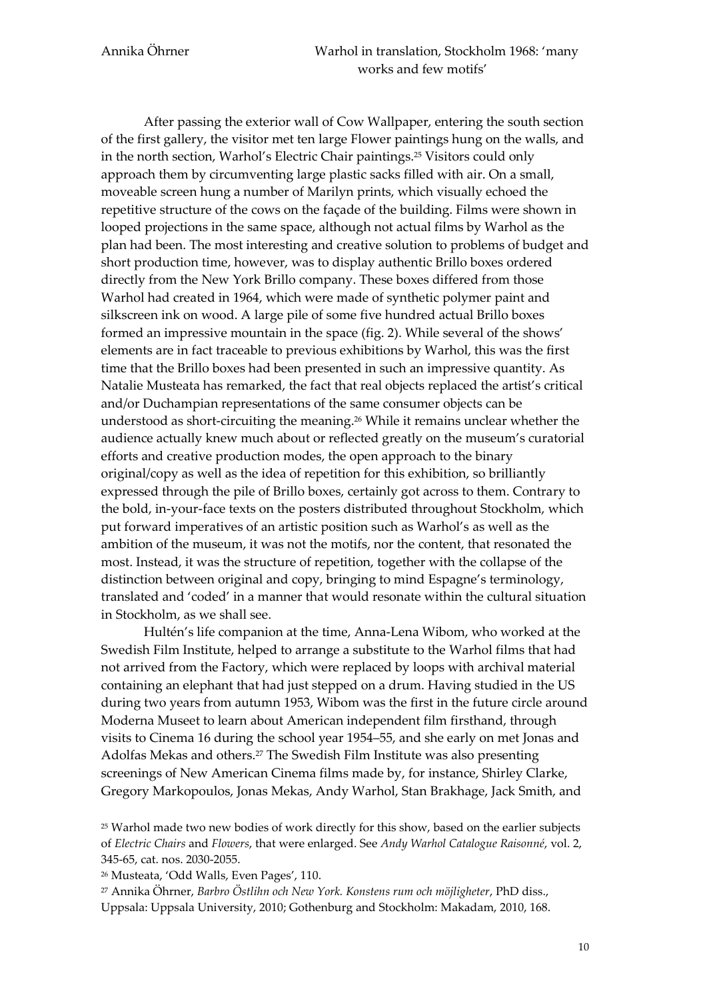After passing the exterior wall of Cow Wallpaper, entering the south section of the first gallery, the visitor met ten large Flower paintings hung on the walls, and in the north section, Warhol's Electric Chair paintings.<sup>25</sup> Visitors could only approach them by circumventing large plastic sacks filled with air. On a small, moveable screen hung a number of Marilyn prints, which visually echoed the repetitive structure of the cows on the façade of the building. Films were shown in looped projections in the same space, although not actual films by Warhol as the plan had been. The most interesting and creative solution to problems of budget and short production time, however, was to display authentic Brillo boxes ordered directly from the New York Brillo company. These boxes differed from those Warhol had created in 1964, which were made of synthetic polymer paint and silkscreen ink on wood. A large pile of some five hundred actual Brillo boxes formed an impressive mountain in the space (fig. 2). While several of the shows' elements are in fact traceable to previous exhibitions by Warhol, this was the first time that the Brillo boxes had been presented in such an impressive quantity. As Natalie Musteata has remarked, the fact that real objects replaced the artist's critical and/or Duchampian representations of the same consumer objects can be understood as short-circuiting the meaning.<sup>26</sup> While it remains unclear whether the audience actually knew much about or reflected greatly on the museum's curatorial efforts and creative production modes, the open approach to the binary original/copy as well as the idea of repetition for this exhibition, so brilliantly expressed through the pile of Brillo boxes, certainly got across to them. Contrary to the bold, in-your-face texts on the posters distributed throughout Stockholm, which put forward imperatives of an artistic position such as Warhol's as well as the ambition of the museum, it was not the motifs, nor the content, that resonated the most. Instead, it was the structure of repetition, together with the collapse of the distinction between original and copy, bringing to mind Espagne's terminology, translated and 'coded' in a manner that would resonate within the cultural situation in Stockholm, as we shall see.

Hultén's life companion at the time, Anna-Lena Wibom, who worked at the Swedish Film Institute, helped to arrange a substitute to the Warhol films that had not arrived from the Factory, which were replaced by loops with archival material containing an elephant that had just stepped on a drum. Having studied in the US during two years from autumn 1953, Wibom was the first in the future circle around Moderna Museet to learn about American independent film firsthand, through visits to Cinema 16 during the school year 1954–55, and she early on met Jonas and Adolfas Mekas and others. <sup>27</sup> The Swedish Film Institute was also presenting screenings of New American Cinema films made by, for instance, Shirley Clarke, Gregory Markopoulos, Jonas Mekas, Andy Warhol, Stan Brakhage, Jack Smith, and

<sup>26</sup> Musteata, 'Odd Walls, Even Pages', 110.

<sup>27</sup> Annika Öhrner, *Barbro Östlihn och New York. Konstens rum och möjligheter*, PhD diss., Uppsala: Uppsala University, 2010; Gothenburg and Stockholm: Makadam, 2010, 168.

<sup>25</sup> Warhol made two new bodies of work directly for this show, based on the earlier subjects of *Electric Chairs* and *Flowers*, that were enlarged. See *Andy Warhol Catalogue Raisonné*, vol. 2, 345-65, cat. nos. 2030-2055.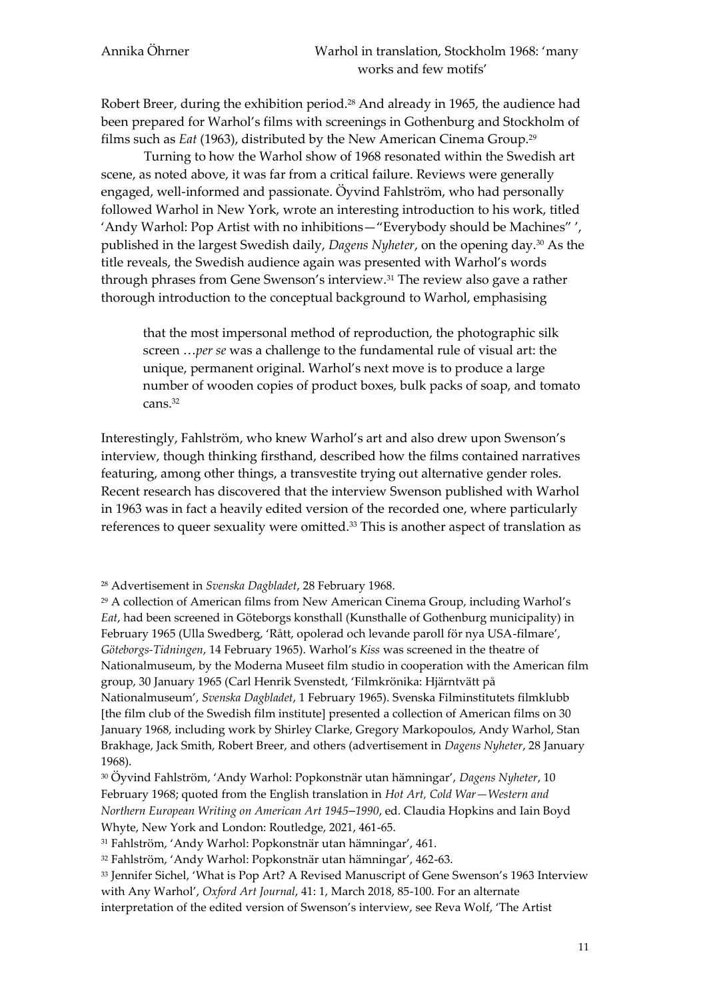Robert Breer, during the exhibition period.<sup>28</sup> And already in 1965, the audience had been prepared for Warhol's films with screenings in Gothenburg and Stockholm of films such as *Eat* (1963), distributed by the New American Cinema Group.<sup>29</sup>

Turning to how the Warhol show of 1968 resonated within the Swedish art scene, as noted above, it was far from a critical failure. Reviews were generally engaged, well-informed and passionate. Öyvind Fahlström, who had personally followed Warhol in New York, wrote an interesting introduction to his work, titled 'Andy Warhol: Pop Artist with no inhibitions—"Everybody should be Machines" ', published in the largest Swedish daily, *Dagens Nyheter*, on the opening day.<sup>30</sup> As the title reveals, the Swedish audience again was presented with Warhol's words through phrases from Gene Swenson's interview.<sup>31</sup> The review also gave a rather thorough introduction to the conceptual background to Warhol, emphasising

that the most impersonal method of reproduction, the photographic silk screen …*per se* was a challenge to the fundamental rule of visual art: the unique, permanent original. Warhol's next move is to produce a large number of wooden copies of product boxes, bulk packs of soap, and tomato cans.<sup>32</sup>

Interestingly, Fahlström, who knew Warhol's art and also drew upon Swenson's interview, though thinking firsthand, described how the films contained narratives featuring, among other things, a transvestite trying out alternative gender roles. Recent research has discovered that the interview Swenson published with Warhol in 1963 was in fact a heavily edited version of the recorded one, where particularly references to queer sexuality were omitted.<sup>33</sup> This is another aspect of translation as

Nationalmuseum', *Svenska Dagbladet*, 1 February 1965). Svenska Filminstitutets filmklubb [the film club of the Swedish film institute] presented a collection of American films on 30 January 1968, including work by Shirley Clarke, Gregory Markopoulos, Andy Warhol, Stan Brakhage, Jack Smith, Robert Breer, and others (advertisement in *Dagens Nyheter*, 28 January 1968).

<sup>30</sup> Öyvind Fahlström, 'Andy Warhol: Popkonstnär utan hämningar', *Dagens Nyheter*, 10 February 1968; quoted from the English translation in *Hot Art, Cold War—Western and Northern European Writing on American Art 1945*–*1990*, ed. Claudia Hopkins and Iain Boyd Whyte, New York and London: Routledge, 2021, 461-65.

<sup>31</sup> Fahlström, 'Andy Warhol: Popkonstnär utan hämningar', 461.

<sup>32</sup> Fahlström, 'Andy Warhol: Popkonstnär utan hämningar', 462-63.

<sup>33</sup> Jennifer Sichel, 'What is Pop Art? A Revised Manuscript of Gene Swenson's 1963 Interview with Any Warhol', *Oxford Art Journal*, 41: 1, March 2018, 85-100. For an alternate interpretation of the edited version of Swenson's interview, see Reva Wolf, 'The Artist

<sup>28</sup> Advertisement in *Svenska Dagbladet*, 28 February 1968.

<sup>29</sup> A collection of American films from New American Cinema Group, including Warhol's *Eat*, had been screened in Göteborgs konsthall (Kunsthalle of Gothenburg municipality) in February 1965 (Ulla Swedberg, 'Rått, opolerad och levande paroll för nya USA-filmare', *Göteborgs-Tidningen*, 14 February 1965). Warhol's *Kiss* was screened in the theatre of Nationalmuseum, by the Moderna Museet film studio in cooperation with the American film group, 30 January 1965 (Carl Henrik Svenstedt, 'Filmkrönika: Hjärntvätt på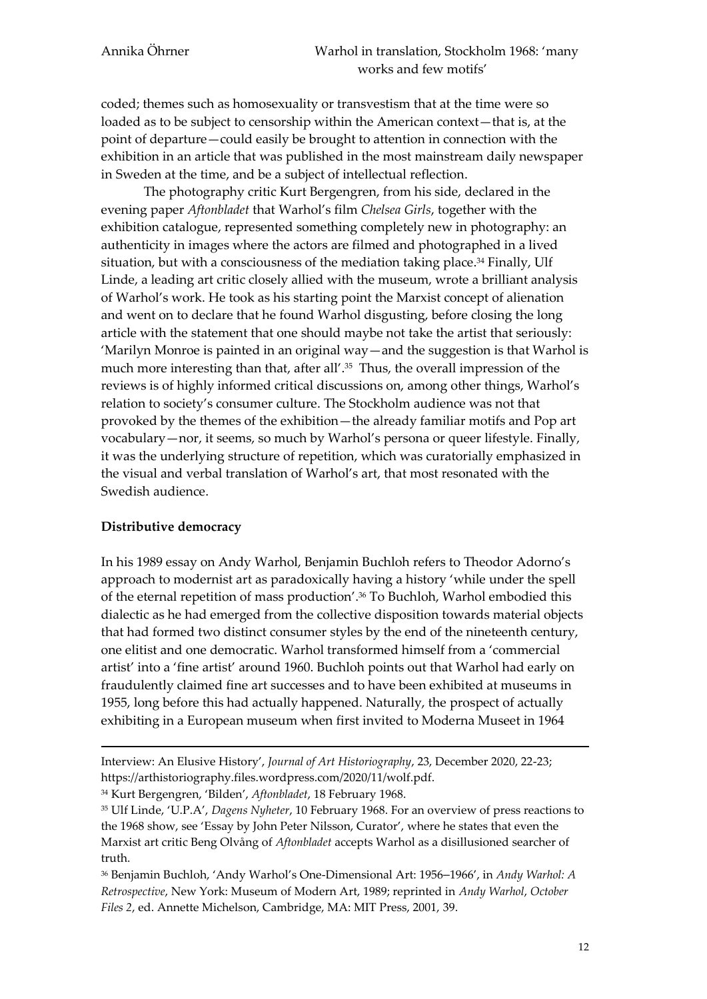coded; themes such as homosexuality or transvestism that at the time were so loaded as to be subject to censorship within the American context—that is, at the point of departure—could easily be brought to attention in connection with the exhibition in an article that was published in the most mainstream daily newspaper in Sweden at the time, and be a subject of intellectual reflection.

The photography critic Kurt Bergengren, from his side, declared in the evening paper *Aftonbladet* that Warhol's film *Chelsea Girls*, together with the exhibition catalogue, represented something completely new in photography: an authenticity in images where the actors are filmed and photographed in a lived situation, but with a consciousness of the mediation taking place.<sup>34</sup> Finally, Ulf Linde, a leading art critic closely allied with the museum, wrote a brilliant analysis of Warhol's work. He took as his starting point the Marxist concept of alienation and went on to declare that he found Warhol disgusting, before closing the long article with the statement that one should maybe not take the artist that seriously: 'Marilyn Monroe is painted in an original way—and the suggestion is that Warhol is much more interesting than that, after all'.<sup>35</sup> Thus, the overall impression of the reviews is of highly informed critical discussions on, among other things, Warhol's relation to society's consumer culture. The Stockholm audience was not that provoked by the themes of the exhibition—the already familiar motifs and Pop art vocabulary—nor, it seems, so much by Warhol's persona or queer lifestyle. Finally, it was the underlying structure of repetition, which was curatorially emphasized in the visual and verbal translation of Warhol's art, that most resonated with the Swedish audience.

### **Distributive democracy**

**.** 

In his 1989 essay on Andy Warhol, Benjamin Buchloh refers to Theodor Adorno's approach to modernist art as paradoxically having a history 'while under the spell of the eternal repetition of mass production'.<sup>36</sup> To Buchloh, Warhol embodied this dialectic as he had emerged from the collective disposition towards material objects that had formed two distinct consumer styles by the end of the nineteenth century, one elitist and one democratic. Warhol transformed himself from a 'commercial artist' into a 'fine artist' around 1960. Buchloh points out that Warhol had early on fraudulently claimed fine art successes and to have been exhibited at museums in 1955, long before this had actually happened. Naturally, the prospect of actually exhibiting in a European museum when first invited to Moderna Museet in 1964

<sup>34</sup> Kurt Bergengren, 'Bilden', *Aftonbladet*, 18 February 1968.

Interview: An Elusive History', *Journal of Art Historiography*, 23, December 2020, 22-23; https://arthistoriography.files.wordpress.com/2020/11/wolf.pdf.

<sup>35</sup> Ulf Linde, 'U.P.A', *Dagens Nyheter*, 10 February 1968. For an overview of press reactions to the 1968 show, see 'Essay by John Peter Nilsson, Curator', where he states that even the Marxist art critic Beng Olvång of *Aftonbladet* accepts Warhol as a disillusioned searcher of truth.

<sup>36</sup> Benjamin Buchloh, 'Andy Warhol's One-Dimensional Art: 1956–1966', in *Andy Warhol: A Retrospective*, New York: Museum of Modern Art, 1989; reprinted in *Andy Warhol*, *October Files 2*, ed. Annette Michelson, Cambridge, MA: MIT Press, 2001, 39.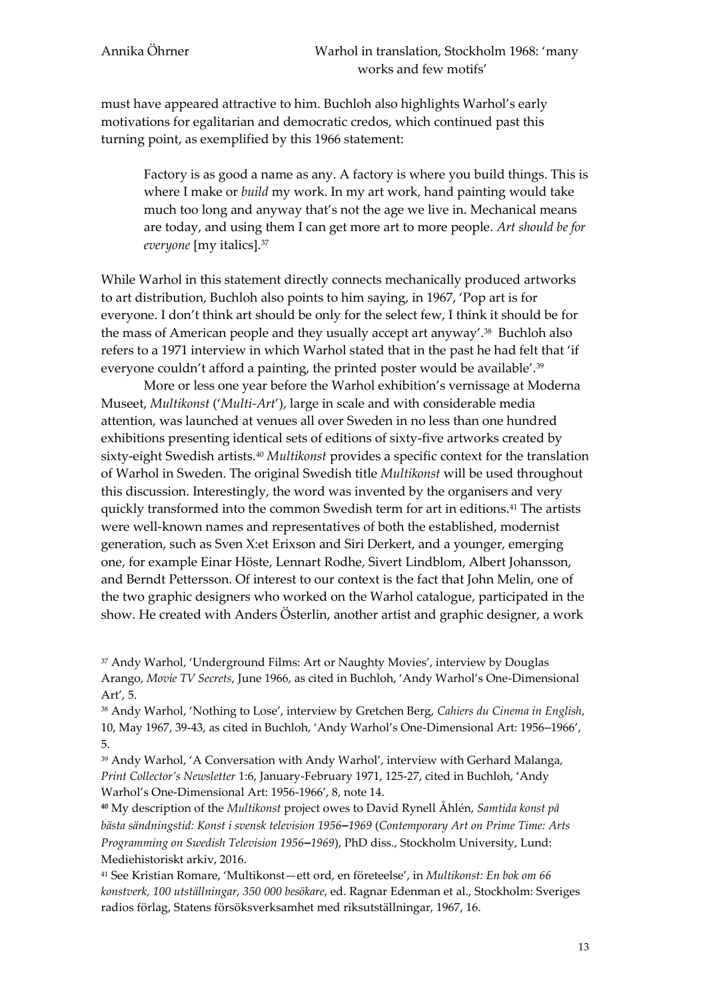must have appeared attractive to him. Buchloh also highlights Warhol's early motivations for egalitarian and democratic credos, which continued past this turning point, as exemplified by this 1966 statement:

Factory is as good a name as any. A factory is where you build things. This is where I make or *build* my work. In my art work, hand painting would take much too long and anyway that's not the age we live in. Mechanical means are today, and using them I can get more art to more people. *Art should be for everyone* [my italics].<sup>37</sup>

While Warhol in this statement directly connects mechanically produced artworks to art distribution, Buchloh also points to him saying, in 1967, 'Pop art is for everyone. I don't think art should be only for the select few, I think it should be for the mass of American people and they usually accept art anyway'.<sup>38</sup> Buchloh also refers to a 1971 interview in which Warhol stated that in the past he had felt that 'if everyone couldn't afford a painting, the printed poster would be available'.<sup>39</sup>

More or less one year before the Warhol exhibition's vernissage at Moderna Museet, *Multikonst* ('*Multi-Art*'), large in scale and with considerable media attention, was launched at venues all over Sweden in no less than one hundred exhibitions presenting identical sets of editions of sixty-five artworks created by sixty-eight Swedish artists.<sup>40</sup> *Multikonst* provides a specific context for the translation of Warhol in Sweden. The original Swedish title *Multikonst* will be used throughout this discussion. Interestingly, the word was invented by the organisers and very quickly transformed into the common Swedish term for art in editions.<sup>41</sup> The artists were well-known names and representatives of both the established, modernist generation, such as Sven X:et Erixson and Siri Derkert, and a younger, emerging one, for example Einar Höste, Lennart Rodhe, Sivert Lindblom, Albert Johansson, and Berndt Pettersson. Of interest to our context is the fact that John Melin, one of the two graphic designers who worked on the Warhol catalogue, participated in the show. He created with Anders Österlin, another artist and graphic designer, a work

<sup>37</sup> Andy Warhol, 'Underground Films: Art or Naughty Movies', interview by Douglas Arango, *Movie TV Secrets*, June 1966, as cited in Buchloh, 'Andy Warhol's One-Dimensional Art', 5.

<sup>38</sup> Andy Warhol, 'Nothing to Lose', interview by Gretchen Berg, *Cahiers du Cinema in English*, 10, May 1967, 39-43, as cited in Buchloh, 'Andy Warhol's One-Dimensional Art: 1956–1966', 5.

<sup>39</sup> Andy Warhol, 'A Conversation with Andy Warhol', interview with Gerhard Malanga, *Print Collector's Newsletter* 1:6, January-February 1971, 125-27, cited in Buchloh, 'Andy Warhol's One-Dimensional Art: 1956-1966', 8, note 14.

**<sup>40</sup>** My description of the *Multikonst* project owes to David Rynell Åhlén, *Samtida konst på bästa sändningstid: Konst i svensk television 1956***–***1969* (*Contemporary Art on Prime Time: Arts Programming on Swedish Television 1956***–***1969*), PhD diss., Stockholm University, Lund: Mediehistoriskt arkiv, 2016.

<sup>41</sup> See Kristian Romare, 'Multikonst—ett ord, en företeelse', in *Multikonst: En bok om 66 konstverk, 100 utställningar, 350 000 besökare*, ed. Ragnar Edenman et al., Stockholm: Sveriges radios förlag, Statens försöksverksamhet med riksutställningar, 1967, 16.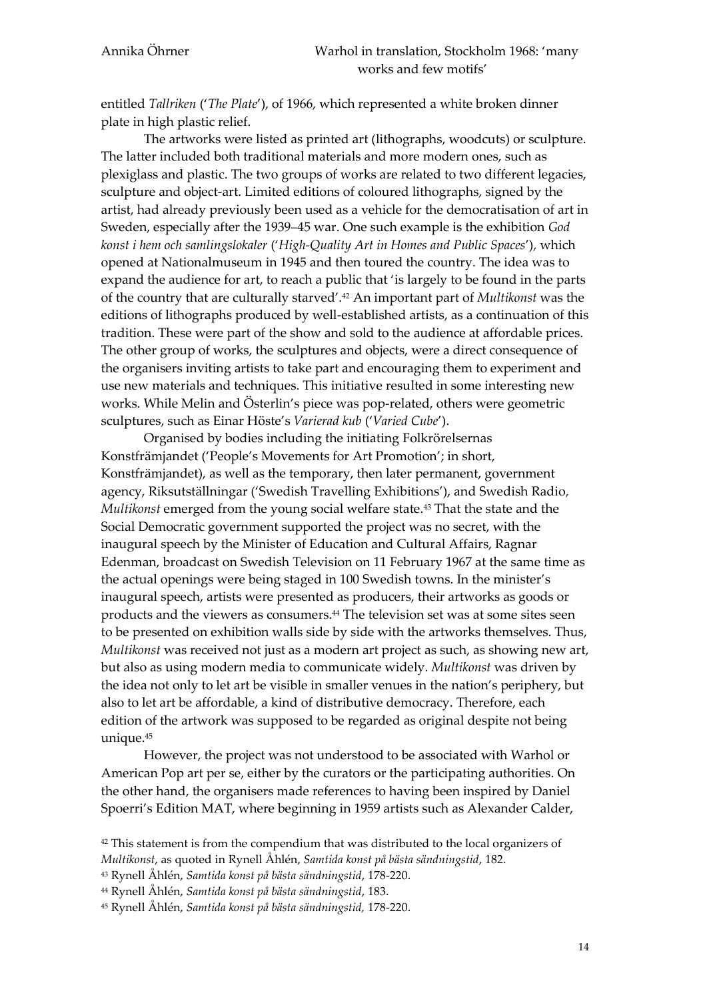entitled *Tallriken* ('*The Plate*'), of 1966, which represented a white broken dinner plate in high plastic relief.

The artworks were listed as printed art (lithographs, woodcuts) or sculpture. The latter included both traditional materials and more modern ones, such as plexiglass and plastic. The two groups of works are related to two different legacies, sculpture and object-art. Limited editions of coloured lithographs, signed by the artist, had already previously been used as a vehicle for the democratisation of art in Sweden, especially after the 1939–45 war. One such example is the exhibition *God konst i hem och samlingslokaler* ('*High-Quality Art in Homes and Public Spaces*'), which opened at Nationalmuseum in 1945 and then toured the country. The idea was to expand the audience for art, to reach a public that 'is largely to be found in the parts of the country that are culturally starved'.<sup>42</sup> An important part of *Multikonst* was the editions of lithographs produced by well-established artists, as a continuation of this tradition. These were part of the show and sold to the audience at affordable prices. The other group of works, the sculptures and objects, were a direct consequence of the organisers inviting artists to take part and encouraging them to experiment and use new materials and techniques. This initiative resulted in some interesting new works. While Melin and Österlin's piece was pop-related, others were geometric sculptures, such as Einar Höste's *Varierad kub* ('*Varied Cube*').

Organised by bodies including the initiating Folkrörelsernas Konstfrämjandet ('People's Movements for Art Promotion'; in short, Konstfrämjandet), as well as the temporary, then later permanent, government agency, Riksutställningar ('Swedish Travelling Exhibitions'), and Swedish Radio*, Multikonst* emerged from the young social welfare state.<sup>43</sup> That the state and the Social Democratic government supported the project was no secret, with the inaugural speech by the Minister of Education and Cultural Affairs, Ragnar Edenman, broadcast on Swedish Television on 11 February 1967 at the same time as the actual openings were being staged in 100 Swedish towns. In the minister's inaugural speech, artists were presented as producers, their artworks as goods or products and the viewers as consumers.<sup>44</sup> The television set was at some sites seen to be presented on exhibition walls side by side with the artworks themselves. Thus, *Multikonst* was received not just as a modern art project as such, as showing new art, but also as using modern media to communicate widely. *Multikonst* was driven by the idea not only to let art be visible in smaller venues in the nation's periphery, but also to let art be affordable, a kind of distributive democracy. Therefore, each edition of the artwork was supposed to be regarded as original despite not being unique.<sup>45</sup>

However, the project was not understood to be associated with Warhol or American Pop art per se, either by the curators or the participating authorities. On the other hand, the organisers made references to having been inspired by Daniel Spoerri's Edition MAT, where beginning in 1959 artists such as Alexander Calder,

<sup>44</sup> Rynell Åhlén, *Samtida konst på bästa sändningstid*, 183.

<sup>&</sup>lt;sup>42</sup> This statement is from the compendium that was distributed to the local organizers of *Multikonst*, as quoted in Rynell Åhlén, *Samtida konst på bästa sändningstid*, 182.

<sup>43</sup> Rynell Åhlén, *Samtida konst på bästa sändningstid*, 178-220.

<sup>45</sup> Rynell Åhlén, *Samtida konst på bästa sändningstid,* 178-220.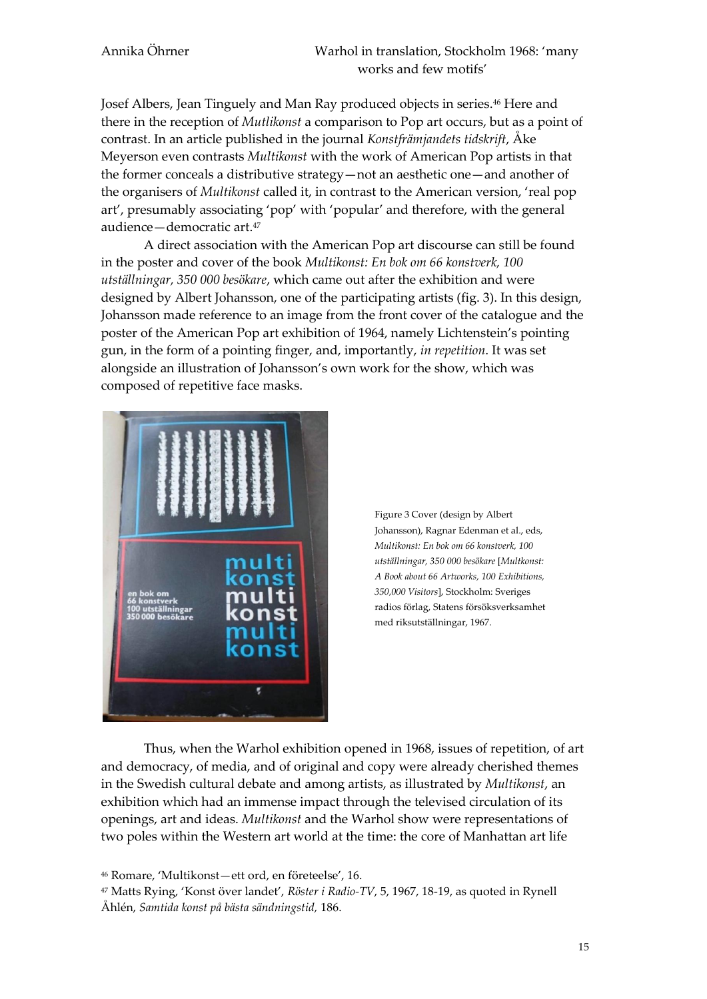Josef Albers, Jean Tinguely and Man Ray produced objects in series.<sup>46</sup> Here and there in the reception of *Mutlikonst* a comparison to Pop art occurs, but as a point of contrast. In an article published in the journal *Konstfrämjandets tidskrift*, Åke Meyerson even contrasts *Multikonst* with the work of American Pop artists in that the former conceals a distributive strategy—not an aesthetic one—and another of the organisers of *Multikonst* called it, in contrast to the American version, 'real pop art', presumably associating 'pop' with 'popular' and therefore, with the general audience—democratic art. 47

A direct association with the American Pop art discourse can still be found in the poster and cover of the book *Multikonst: En bok om 66 konstverk, 100 utställningar, 350 000 besökare*, which came out after the exhibition and were designed by Albert Johansson, one of the participating artists (fig. 3). In this design, Johansson made reference to an image from the front cover of the catalogue and the poster of the American Pop art exhibition of 1964, namely Lichtenstein's pointing gun, in the form of a pointing finger, and, importantly, *in repetition*. It was set alongside an illustration of Johansson's own work for the show, which was composed of repetitive face masks.





Thus, when the Warhol exhibition opened in 1968, issues of repetition, of art and democracy, of media, and of original and copy were already cherished themes in the Swedish cultural debate and among artists, as illustrated by *Multikonst*, an exhibition which had an immense impact through the televised circulation of its openings, art and ideas. *Multikonst* and the Warhol show were representations of two poles within the Western art world at the time: the core of Manhattan art life

<sup>46</sup> Romare, 'Multikonst—ett ord, en företeelse', 16.

<sup>47</sup> Matts Rying, 'Konst över landet', *Röster i Radio-TV*, 5, 1967, 18-19, as quoted in Rynell Åhlén, *Samtida konst på bästa sändningstid,* 186.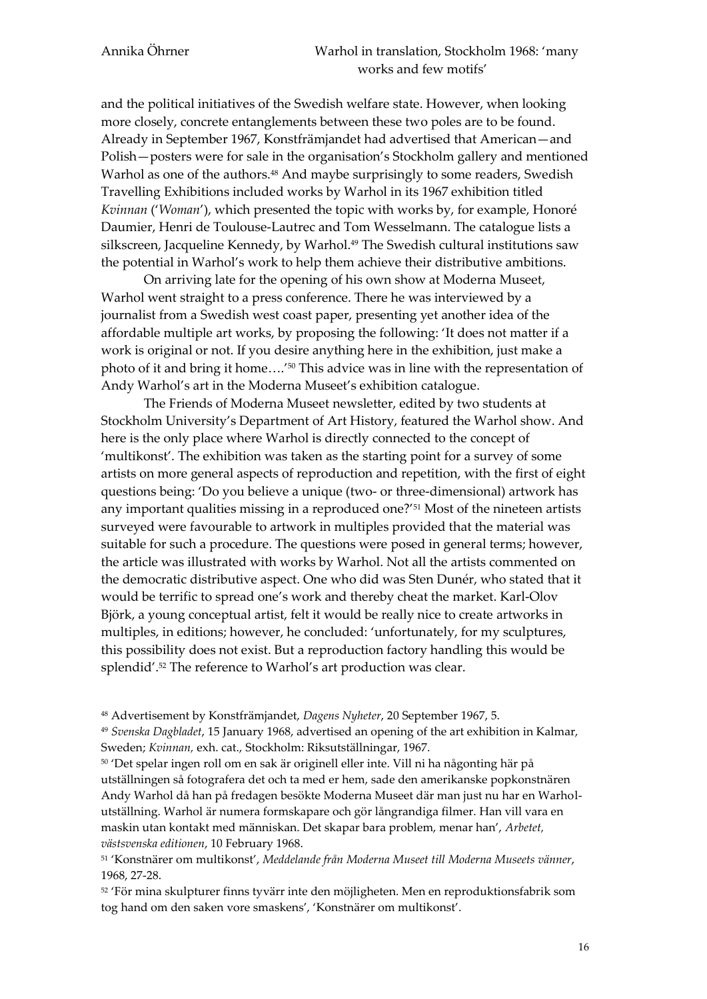and the political initiatives of the Swedish welfare state. However, when looking more closely, concrete entanglements between these two poles are to be found. Already in September 1967, Konstfrämjandet had advertised that American—and Polish—posters were for sale in the organisation's Stockholm gallery and mentioned Warhol as one of the authors.<sup>48</sup> And maybe surprisingly to some readers, Swedish Travelling Exhibitions included works by Warhol in its 1967 exhibition titled *Kvinnan* ('*Woman*'), which presented the topic with works by, for example, Honoré Daumier, Henri de Toulouse-Lautrec and Tom Wesselmann. The catalogue lists a silkscreen, Jacqueline Kennedy, by Warhol.<sup>49</sup> The Swedish cultural institutions saw the potential in Warhol's work to help them achieve their distributive ambitions.

On arriving late for the opening of his own show at Moderna Museet, Warhol went straight to a press conference. There he was interviewed by a journalist from a Swedish west coast paper, presenting yet another idea of the affordable multiple art works, by proposing the following: 'It does not matter if a work is original or not. If you desire anything here in the exhibition, just make a photo of it and bring it home….'<sup>50</sup> This advice was in line with the representation of Andy Warhol's art in the Moderna Museet's exhibition catalogue.

The Friends of Moderna Museet newsletter, edited by two students at Stockholm University's Department of Art History, featured the Warhol show. And here is the only place where Warhol is directly connected to the concept of 'multikonst'. The exhibition was taken as the starting point for a survey of some artists on more general aspects of reproduction and repetition, with the first of eight questions being: 'Do you believe a unique (two- or three-dimensional) artwork has any important qualities missing in a reproduced one?'<sup>51</sup> Most of the nineteen artists surveyed were favourable to artwork in multiples provided that the material was suitable for such a procedure. The questions were posed in general terms; however, the article was illustrated with works by Warhol. Not all the artists commented on the democratic distributive aspect. One who did was Sten Dunér, who stated that it would be terrific to spread one's work and thereby cheat the market. Karl-Olov Björk, a young conceptual artist, felt it would be really nice to create artworks in multiples, in editions; however, he concluded: 'unfortunately, for my sculptures, this possibility does not exist. But a reproduction factory handling this would be splendid'.<sup>52</sup> The reference to Warhol's art production was clear.

<sup>48</sup> Advertisement by Konstfrämjandet, *Dagens Nyheter*, 20 September 1967, 5.

<sup>49</sup> *Svenska Dagbladet*, 15 January 1968, advertised an opening of the art exhibition in Kalmar, Sweden; *Kvinnan,* exh. cat., Stockholm: Riksutställningar, 1967.

<sup>50</sup> 'Det spelar ingen roll om en sak är originell eller inte. Vill ni ha någonting här på utställningen så fotografera det och ta med er hem, sade den amerikanske popkonstnären Andy Warhol då han på fredagen besökte Moderna Museet där man just nu har en Warholutställning. Warhol är numera formskapare och gör långrandiga filmer. Han vill vara en maskin utan kontakt med människan. Det skapar bara problem, menar han', *Arbetet, västsvenska editionen*, 10 February 1968.

<sup>51</sup> 'Konstnärer om multikonst', *Meddelande från Moderna Museet till Moderna Museets vänner*, 1968, 27-28.

<sup>52</sup> 'För mina skulpturer finns tyvärr inte den möjligheten. Men en reproduktionsfabrik som tog hand om den saken vore smaskens', 'Konstnärer om multikonst'.